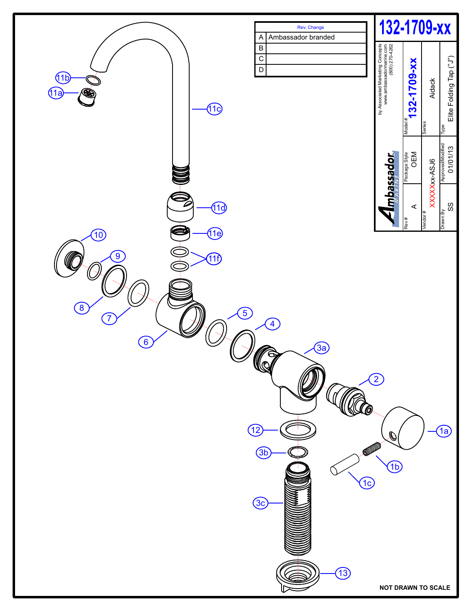